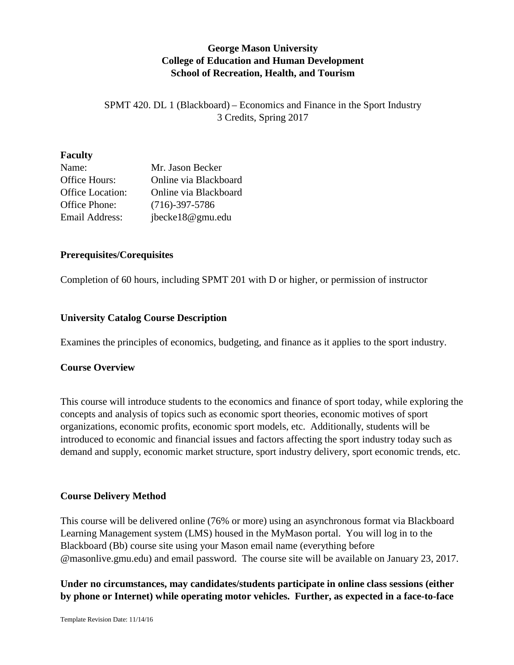# **George Mason University College of Education and Human Development School of Recreation, Health, and Tourism**

SPMT 420. DL 1 (Blackboard) – Economics and Finance in the Sport Industry 3 Credits, Spring 2017

### **Faculty**

| Name:            | Mr. Jason Becker      |
|------------------|-----------------------|
| Office Hours:    | Online via Blackboard |
| Office Location: | Online via Blackboard |
| Office Phone:    | $(716)-397-5786$      |
| Email Address:   | jbecke18@gmu.edu      |

### **Prerequisites/Corequisites**

Completion of 60 hours, including SPMT 201 with D or higher, or permission of instructor

# **University Catalog Course Description**

Examines the principles of economics, budgeting, and finance as it applies to the sport industry.

# **Course Overview**

This course will introduce students to the economics and finance of sport today, while exploring the concepts and analysis of topics such as economic sport theories, economic motives of sport organizations, economic profits, economic sport models, etc. Additionally, students will be introduced to economic and financial issues and factors affecting the sport industry today such as demand and supply, economic market structure, sport industry delivery, sport economic trends, etc.

# **Course Delivery Method**

This course will be delivered online (76% or more) using an asynchronous format via Blackboard Learning Management system (LMS) housed in the MyMason portal. You will log in to the Blackboard (Bb) course site using your Mason email name (everything before @masonlive.gmu.edu) and email password. The course site will be available on January 23, 2017.

# **Under no circumstances, may candidates/students participate in online class sessions (either by phone or Internet) while operating motor vehicles. Further, as expected in a face-to-face**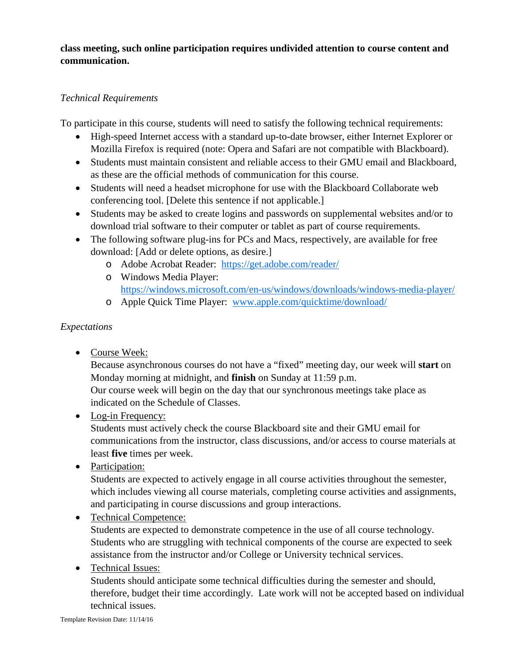**class meeting, such online participation requires undivided attention to course content and communication.**

# *Technical Requirements*

To participate in this course, students will need to satisfy the following technical requirements:

- High-speed Internet access with a standard up-to-date browser, either Internet Explorer or Mozilla Firefox is required (note: Opera and Safari are not compatible with Blackboard).
- Students must maintain consistent and reliable access to their GMU email and Blackboard, as these are the official methods of communication for this course.
- Students will need a headset microphone for use with the Blackboard Collaborate web conferencing tool. [Delete this sentence if not applicable.]
- Students may be asked to create logins and passwords on supplemental websites and/or to download trial software to their computer or tablet as part of course requirements.
- The following software plug-ins for PCs and Macs, respectively, are available for free download: [Add or delete options, as desire.]
	- o Adobe Acrobat Reader: <https://get.adobe.com/reader/>
	- o Windows Media Player: <https://windows.microsoft.com/en-us/windows/downloads/windows-media-player/>
	- o Apple Quick Time Player: [www.apple.com/quicktime/download/](http://www.apple.com/quicktime/download/)

# *Expectations*

• Course Week:

Because asynchronous courses do not have a "fixed" meeting day, our week will **start** on Monday morning at midnight, and **finish** on Sunday at 11:59 p.m.

Our course week will begin on the day that our synchronous meetings take place as indicated on the Schedule of Classes.

• Log-in Frequency:

Students must actively check the course Blackboard site and their GMU email for communications from the instructor, class discussions, and/or access to course materials at least **five** times per week.

• Participation:

Students are expected to actively engage in all course activities throughout the semester, which includes viewing all course materials, completing course activities and assignments, and participating in course discussions and group interactions.

- Technical Competence: Students are expected to demonstrate competence in the use of all course technology. Students who are struggling with technical components of the course are expected to seek assistance from the instructor and/or College or University technical services.
- Technical Issues:

Students should anticipate some technical difficulties during the semester and should, therefore, budget their time accordingly. Late work will not be accepted based on individual technical issues.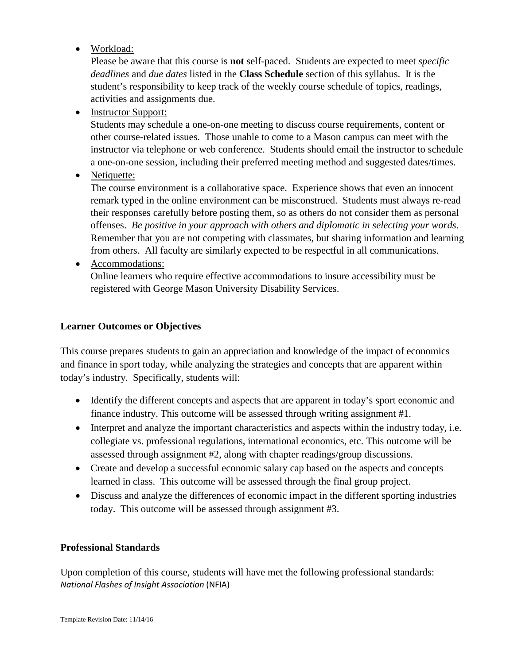• Workload:

Please be aware that this course is **not** self-paced. Students are expected to meet *specific deadlines* and *due dates* listed in the **Class Schedule** section of this syllabus. It is the student's responsibility to keep track of the weekly course schedule of topics, readings, activities and assignments due.

• Instructor Support:

Students may schedule a one-on-one meeting to discuss course requirements, content or other course-related issues. Those unable to come to a Mason campus can meet with the instructor via telephone or web conference. Students should email the instructor to schedule a one-on-one session, including their preferred meeting method and suggested dates/times.

• Netiquette:

The course environment is a collaborative space. Experience shows that even an innocent remark typed in the online environment can be misconstrued. Students must always re-read their responses carefully before posting them, so as others do not consider them as personal offenses. *Be positive in your approach with others and diplomatic in selecting your words*. Remember that you are not competing with classmates, but sharing information and learning from others. All faculty are similarly expected to be respectful in all communications.

• Accommodations:

Online learners who require effective accommodations to insure accessibility must be registered with George Mason University Disability Services.

### **Learner Outcomes or Objectives**

This course prepares students to gain an appreciation and knowledge of the impact of economics and finance in sport today, while analyzing the strategies and concepts that are apparent within today's industry. Specifically, students will:

- Identify the different concepts and aspects that are apparent in today's sport economic and finance industry. This outcome will be assessed through writing assignment #1.
- Interpret and analyze the important characteristics and aspects within the industry today, i.e. collegiate vs. professional regulations, international economics, etc. This outcome will be assessed through assignment #2, along with chapter readings/group discussions.
- Create and develop a successful economic salary cap based on the aspects and concepts learned in class. This outcome will be assessed through the final group project.
- Discuss and analyze the differences of economic impact in the different sporting industries today. This outcome will be assessed through assignment #3.

#### **Professional Standards**

Upon completion of this course, students will have met the following professional standards: *National Flashes of Insight Association* (NFIA)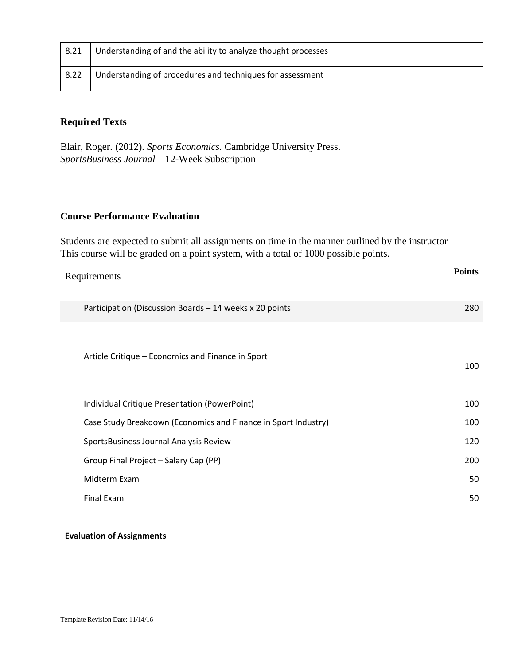| 8.21 | Understanding of and the ability to analyze thought processes |
|------|---------------------------------------------------------------|
| 8.22 | Understanding of procedures and techniques for assessment     |

# **Required Texts**

Blair, Roger. (2012). *Sports Economics.* Cambridge University Press. *SportsBusiness Journal* – 12-Week Subscription

### **Course Performance Evaluation**

Students are expected to submit all assignments on time in the manner outlined by the instructor This course will be graded on a point system, with a total of 1000 possible points.

| Requirements                                                   | <b>Points</b> |
|----------------------------------------------------------------|---------------|
| Participation (Discussion Boards - 14 weeks x 20 points        | 280           |
| Article Critique – Economics and Finance in Sport              | 100           |
| Individual Critique Presentation (PowerPoint)                  | 100           |
| Case Study Breakdown (Economics and Finance in Sport Industry) | 100           |
| SportsBusiness Journal Analysis Review                         | 120           |
| Group Final Project - Salary Cap (PP)                          | 200           |
| Midterm Exam                                                   | 50            |
| <b>Final Exam</b>                                              | 50            |

#### **Evaluation of Assignments**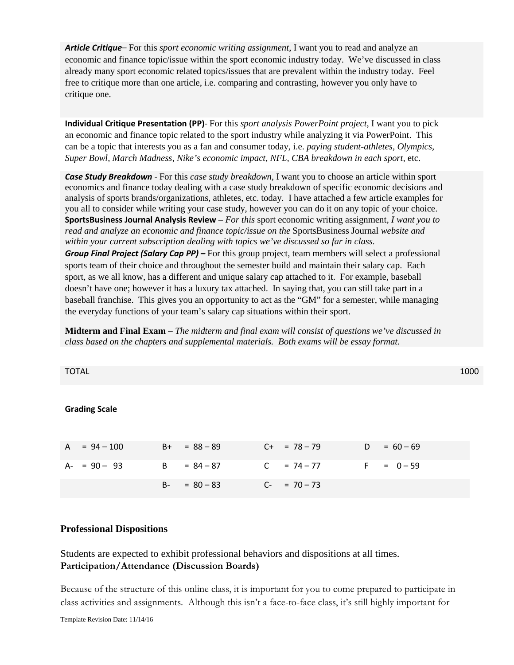*Article Critique*– For this *sport economic writing assignment*, I want you to read and analyze an economic and finance topic/issue within the sport economic industry today. We've discussed in class already many sport economic related topics/issues that are prevalent within the industry today. Feel free to critique more than one article, i.e. comparing and contrasting, however you only have to critique one.

**Individual Critique Presentation (PP)**- For this *sport analysis PowerPoint project*, I want you to pick an economic and finance topic related to the sport industry while analyzing it via PowerPoint. This can be a topic that interests you as a fan and consumer today, i.e. *paying student-athletes, Olympics, Super Bowl, March Madness, Nike's economic impact, NFL, CBA breakdown in each sport,* etc.

*Case Study Breakdown* - For this *case study breakdown,* I want you to choose an article within sport economics and finance today dealing with a case study breakdown of specific economic decisions and analysis of sports brands/organizations, athletes, etc. today. I have attached a few article examples for you all to consider while writing your case study, however you can do it on any topic of your choice. **SportsBusiness Journal Analysis Review** *– For this* sport economic writing assignment*, I want you to read and analyze an economic and finance topic/issue on the* SportsBusiness Journal *website and within your current subscription dealing with topics we've discussed so far in class.* 

*Group Final Project (Salary Cap PP) –* For this group project, team members will select a professional sports team of their choice and throughout the semester build and maintain their salary cap. Each sport, as we all know, has a different and unique salary cap attached to it. For example, baseball doesn't have one; however it has a luxury tax attached. In saying that, you can still take part in a baseball franchise. This gives you an opportunity to act as the "GM" for a semester, while managing the everyday functions of your team's salary cap situations within their sport.

**Midterm and Final Exam –** *The midterm and final exam will consist of questions we've discussed in class based on the chapters and supplemental materials. Both exams will be essay format.* 

| <b>TOTAL</b>         |              |                |                   |       |             | 1000 |
|----------------------|--------------|----------------|-------------------|-------|-------------|------|
| <b>Grading Scale</b> |              |                |                   |       |             |      |
| A<br>$= 94 - 100$    |              | $B+ = 88 - 89$ | $C_{+}$ = 78 – 79 | D     | $= 60 - 69$ |      |
| $A - 90 - 93$        | $\mathbf{B}$ | $= 84 - 87$    | $C = 74 - 77$     | $F =$ | $= 0 - 59$  |      |
|                      | <b>B-</b>    | $= 80 - 83$    | $C_{-}$ = 70 – 73 |       |             |      |

#### **Professional Dispositions**

Students are expected to exhibit professional behaviors and dispositions at all times. **Participation/Attendance (Discussion Boards)**

Because of the structure of this online class, it is important for you to come prepared to participate in class activities and assignments. Although this isn't a face-to-face class, it's still highly important for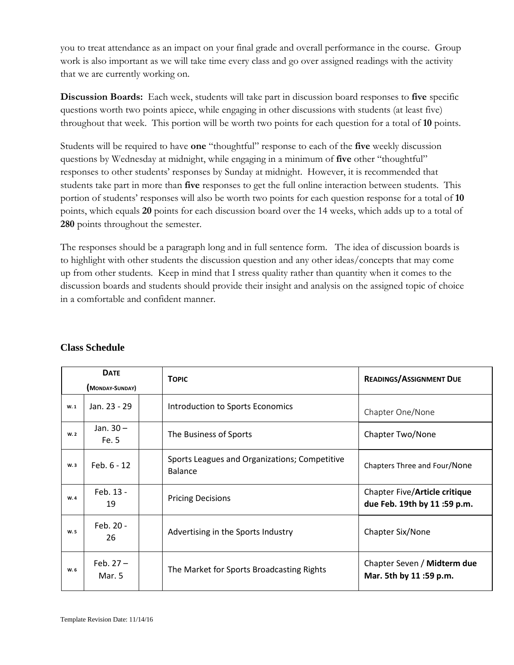you to treat attendance as an impact on your final grade and overall performance in the course. Group work is also important as we will take time every class and go over assigned readings with the activity that we are currently working on.

**Discussion Boards:** Each week, students will take part in discussion board responses to **five** specific questions worth two points apiece, while engaging in other discussions with students (at least five) throughout that week. This portion will be worth two points for each question for a total of **10** points.

Students will be required to have **one** "thoughtful" response to each of the **five** weekly discussion questions by Wednesday at midnight, while engaging in a minimum of **five** other "thoughtful" responses to other students' responses by Sunday at midnight. However, it is recommended that students take part in more than **five** responses to get the full online interaction between students. This portion of students' responses will also be worth two points for each question response for a total of **10** points, which equals **20** points for each discussion board over the 14 weeks, which adds up to a total of **280** points throughout the semester.

The responses should be a paragraph long and in full sentence form. The idea of discussion boards is to highlight with other students the discussion question and any other ideas/concepts that may come up from other students. Keep in mind that I stress quality rather than quantity when it comes to the discussion boards and students should provide their insight and analysis on the assigned topic of choice in a comfortable and confident manner.

| <b>DATE</b><br>(MONDAY-SUNDAY) |                       | <b>TOPIC</b>                                             | <b>READINGS/ASSIGNMENT DUE</b>                               |  |
|--------------------------------|-----------------------|----------------------------------------------------------|--------------------------------------------------------------|--|
| W.1                            | Jan. 23 - 29          | Introduction to Sports Economics                         | Chapter One/None                                             |  |
| W.2                            | Jan. 30-<br>Fe. 5     | The Business of Sports                                   | Chapter Two/None                                             |  |
| W.3                            | Feb. 6 - 12           | Sports Leagues and Organizations; Competitive<br>Balance | Chapters Three and Four/None                                 |  |
| W.4                            | Feb. 13 -<br>19       | <b>Pricing Decisions</b>                                 | Chapter Five/Article critique<br>due Feb. 19th by 11:59 p.m. |  |
| W. 5                           | Feb. 20 -<br>26       | Advertising in the Sports Industry                       | Chapter Six/None                                             |  |
| W.6                            | Feb. $27 -$<br>Mar. 5 | The Market for Sports Broadcasting Rights                | Chapter Seven / Midterm due<br>Mar. 5th by 11:59 p.m.        |  |

#### **Class Schedule**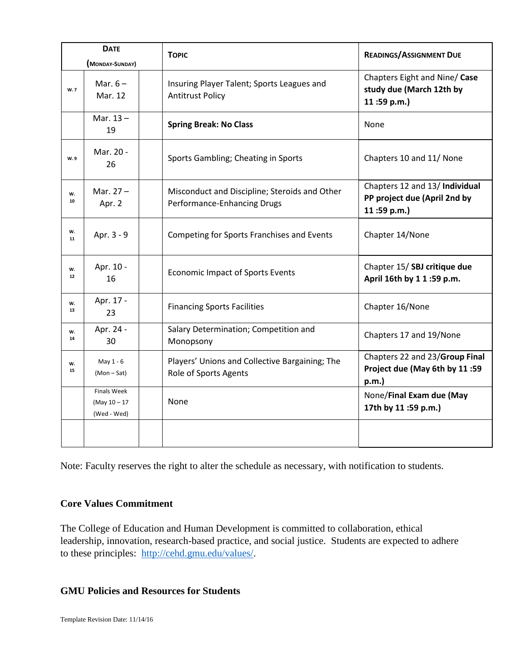| <b>DATE</b>             |                                               | <b>TOPIC</b>                                                                 | <b>READINGS/ASSIGNMENT DUE</b>                                                |
|-------------------------|-----------------------------------------------|------------------------------------------------------------------------------|-------------------------------------------------------------------------------|
| W. 7                    | (MONDAY-SUNDAY)<br>Mar. $6-$<br>Mar. 12       | Insuring Player Talent; Sports Leagues and<br><b>Antitrust Policy</b>        | Chapters Eight and Nine/ Case<br>study due (March 12th by<br>11:59 p.m.)      |
|                         | Mar. $13 -$<br>19                             | <b>Spring Break: No Class</b>                                                | None                                                                          |
| W.9                     | Mar. 20 -<br>26                               | Sports Gambling; Cheating in Sports                                          | Chapters 10 and 11/ None                                                      |
| W.<br>10                | Mar. $27 -$<br>Apr. 2                         | Misconduct and Discipline; Steroids and Other<br>Performance-Enhancing Drugs | Chapters 12 and 13/ Individual<br>PP project due (April 2nd by<br>11:59 p.m.) |
| w.<br>11                | Apr. 3 - 9                                    | Competing for Sports Franchises and Events                                   | Chapter 14/None                                                               |
| W.<br>$12 \overline{ }$ | Apr. 10 -<br>16                               | <b>Economic Impact of Sports Events</b>                                      | Chapter 15/SBJ critique due<br>April 16th by 1 1 :59 p.m.                     |
| W.<br>13                | Apr. 17 -<br>23                               | <b>Financing Sports Facilities</b>                                           | Chapter 16/None                                                               |
| w.<br>14                | Apr. 24 -<br>30                               | Salary Determination; Competition and<br>Monopsony                           | Chapters 17 and 19/None                                                       |
| w.<br>15                | May 1 - 6<br>(Mon-Sat)                        | Players' Unions and Collective Bargaining; The<br>Role of Sports Agents      | Chapters 22 and 23/Group Final<br>Project due (May 6th by 11:59<br>p.m.       |
|                         | Finals Week<br>$(May 10 - 17)$<br>(Wed - Wed) | None                                                                         | None/Final Exam due (May<br>17th by 11 :59 p.m.)                              |
|                         |                                               |                                                                              |                                                                               |

Note: Faculty reserves the right to alter the schedule as necessary, with notification to students.

#### **Core Values Commitment**

The College of Education and Human Development is committed to collaboration, ethical leadership, innovation, research-based practice, and social justice. Students are expected to adhere to these principles: [http://cehd.gmu.edu/values/.](http://cehd.gmu.edu/values/)

### **GMU Policies and Resources for Students**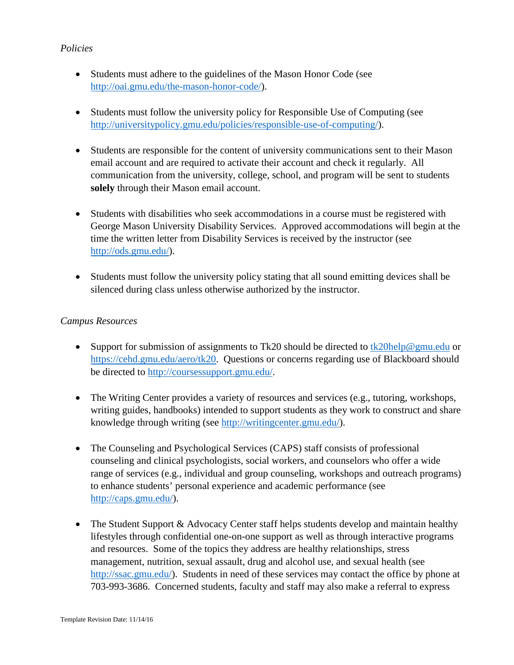### *Policies*

- Students must adhere to the guidelines of the Mason Honor Code (see [http://oai.gmu.edu/the-mason-honor-code/\)](http://oai.gmu.edu/the-mason-honor-code/).
- Students must follow the university policy for Responsible Use of Computing (see [http://universitypolicy.gmu.edu/policies/responsible-use-of-computing/\)](http://universitypolicy.gmu.edu/policies/responsible-use-of-computing/).
- Students are responsible for the content of university communications sent to their Mason email account and are required to activate their account and check it regularly. All communication from the university, college, school, and program will be sent to students **solely** through their Mason email account.
- Students with disabilities who seek accommodations in a course must be registered with George Mason University Disability Services. Approved accommodations will begin at the time the written letter from Disability Services is received by the instructor (see [http://ods.gmu.edu/\)](http://ods.gmu.edu/).
- Students must follow the university policy stating that all sound emitting devices shall be silenced during class unless otherwise authorized by the instructor.

### *Campus Resources*

- Support for submission of assignments to Tk20 should be directed to [tk20help@gmu.edu](mailto:tk20help@gmu.edu) or [https://cehd.gmu.edu/aero/tk20.](https://cehd.gmu.edu/aero/tk20) Questions or concerns regarding use of Blackboard should be directed to [http://coursessupport.gmu.edu/.](http://coursessupport.gmu.edu/)
- The Writing Center provides a variety of resources and services (e.g., tutoring, workshops, writing guides, handbooks) intended to support students as they work to construct and share knowledge through writing (see [http://writingcenter.gmu.edu/\)](http://writingcenter.gmu.edu/).
- The Counseling and Psychological Services (CAPS) staff consists of professional counseling and clinical psychologists, social workers, and counselors who offer a wide range of services (e.g., individual and group counseling, workshops and outreach programs) to enhance students' personal experience and academic performance (see [http://caps.gmu.edu/\)](http://caps.gmu.edu/).
- The Student Support & Advocacy Center staff helps students develop and maintain healthy lifestyles through confidential one-on-one support as well as through interactive programs and resources. Some of the topics they address are healthy relationships, stress management, nutrition, sexual assault, drug and alcohol use, and sexual health (see [http://ssac.gmu.edu/\)](http://ssac.gmu.edu/). Students in need of these services may contact the office by phone at 703-993-3686. Concerned students, faculty and staff may also make a referral to express